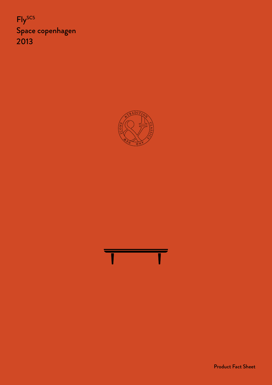Fly<sup>SC5</sup> Space copenhagen 2013





Product Fact Sheet